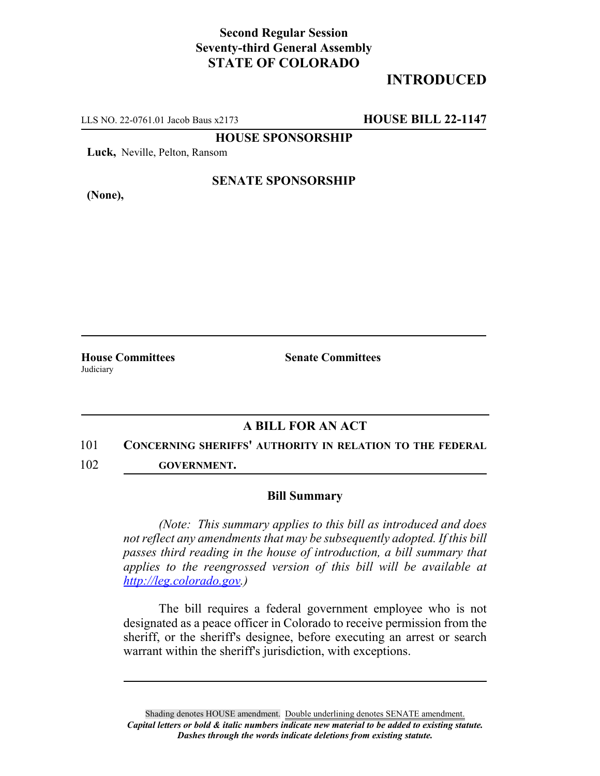## **Second Regular Session Seventy-third General Assembly STATE OF COLORADO**

# **INTRODUCED**

LLS NO. 22-0761.01 Jacob Baus x2173 **HOUSE BILL 22-1147**

**HOUSE SPONSORSHIP**

**Luck,** Neville, Pelton, Ransom

**(None),**

### **SENATE SPONSORSHIP**

**House Committees Senate Committees** Judiciary

## **A BILL FOR AN ACT**

#### 101 **CONCERNING SHERIFFS' AUTHORITY IN RELATION TO THE FEDERAL**

102 **GOVERNMENT.**

#### **Bill Summary**

*(Note: This summary applies to this bill as introduced and does not reflect any amendments that may be subsequently adopted. If this bill passes third reading in the house of introduction, a bill summary that applies to the reengrossed version of this bill will be available at http://leg.colorado.gov.)*

The bill requires a federal government employee who is not designated as a peace officer in Colorado to receive permission from the sheriff, or the sheriff's designee, before executing an arrest or search warrant within the sheriff's jurisdiction, with exceptions.

Shading denotes HOUSE amendment. Double underlining denotes SENATE amendment. *Capital letters or bold & italic numbers indicate new material to be added to existing statute. Dashes through the words indicate deletions from existing statute.*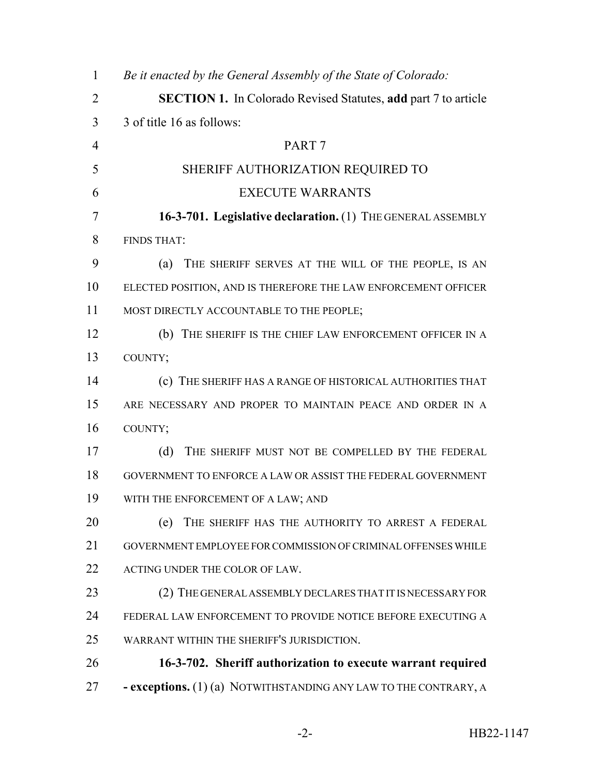| $\mathbf{1}$   | Be it enacted by the General Assembly of the State of Colorado:       |
|----------------|-----------------------------------------------------------------------|
| $\overline{2}$ | <b>SECTION 1.</b> In Colorado Revised Statutes, add part 7 to article |
| 3              | 3 of title 16 as follows:                                             |
| $\overline{4}$ | PART <sub>7</sub>                                                     |
| 5              | SHERIFF AUTHORIZATION REQUIRED TO                                     |
| 6              | <b>EXECUTE WARRANTS</b>                                               |
| 7              | 16-3-701. Legislative declaration. (1) THE GENERAL ASSEMBLY           |
| 8              | <b>FINDS THAT:</b>                                                    |
| 9              | THE SHERIFF SERVES AT THE WILL OF THE PEOPLE, IS AN<br>(a)            |
| 10             | ELECTED POSITION, AND IS THEREFORE THE LAW ENFORCEMENT OFFICER        |
| 11             | MOST DIRECTLY ACCOUNTABLE TO THE PEOPLE;                              |
| 12             | (b)<br>THE SHERIFF IS THE CHIEF LAW ENFORCEMENT OFFICER IN A          |
| 13             | COUNTY;                                                               |
| 14             | (c) THE SHERIFF HAS A RANGE OF HISTORICAL AUTHORITIES THAT            |
| 15             | ARE NECESSARY AND PROPER TO MAINTAIN PEACE AND ORDER IN A             |
| 16             | COUNTY;                                                               |
| 17             | THE SHERIFF MUST NOT BE COMPELLED BY THE FEDERAL<br>(d)               |
| 18             | GOVERNMENT TO ENFORCE A LAW OR ASSIST THE FEDERAL GOVERNMENT          |
| 19             | WITH THE ENFORCEMENT OF A LAW; AND                                    |
| 20             | THE SHERIFF HAS THE AUTHORITY TO ARREST A FEDERAL<br>(e)              |
| 21             | GOVERNMENT EMPLOYEE FOR COMMISSION OF CRIMINAL OFFENSES WHILE         |
| 22             | ACTING UNDER THE COLOR OF LAW.                                        |
| 23             | (2) THE GENERAL ASSEMBLY DECLARES THAT IT IS NECESSARY FOR            |
| 24             | FEDERAL LAW ENFORCEMENT TO PROVIDE NOTICE BEFORE EXECUTING A          |
| 25             | WARRANT WITHIN THE SHERIFF'S JURISDICTION.                            |
| 26             | 16-3-702. Sheriff authorization to execute warrant required           |
| 27             | - exceptions. (1) (a) NOTWITHSTANDING ANY LAW TO THE CONTRARY, A      |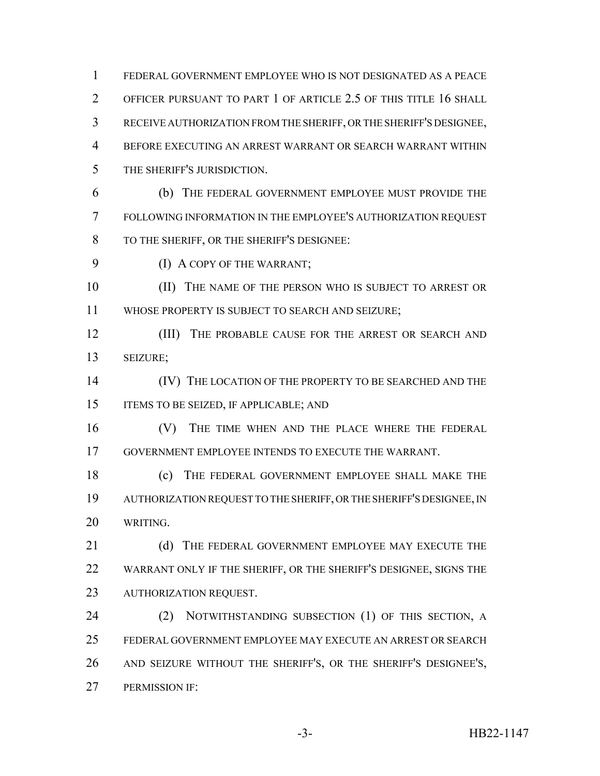FEDERAL GOVERNMENT EMPLOYEE WHO IS NOT DESIGNATED AS A PEACE OFFICER PURSUANT TO PART 1 OF ARTICLE 2.5 OF THIS TITLE 16 SHALL RECEIVE AUTHORIZATION FROM THE SHERIFF, OR THE SHERIFF'S DESIGNEE, BEFORE EXECUTING AN ARREST WARRANT OR SEARCH WARRANT WITHIN THE SHERIFF'S JURISDICTION. (b) THE FEDERAL GOVERNMENT EMPLOYEE MUST PROVIDE THE FOLLOWING INFORMATION IN THE EMPLOYEE'S AUTHORIZATION REQUEST TO THE SHERIFF, OR THE SHERIFF'S DESIGNEE: (I) A COPY OF THE WARRANT; 10 (II) THE NAME OF THE PERSON WHO IS SUBJECT TO ARREST OR WHOSE PROPERTY IS SUBJECT TO SEARCH AND SEIZURE; 12 (III) THE PROBABLE CAUSE FOR THE ARREST OR SEARCH AND SEIZURE; 14 (IV) THE LOCATION OF THE PROPERTY TO BE SEARCHED AND THE ITEMS TO BE SEIZED, IF APPLICABLE; AND (V) THE TIME WHEN AND THE PLACE WHERE THE FEDERAL GOVERNMENT EMPLOYEE INTENDS TO EXECUTE THE WARRANT. (c) THE FEDERAL GOVERNMENT EMPLOYEE SHALL MAKE THE AUTHORIZATION REQUEST TO THE SHERIFF, OR THE SHERIFF'S DESIGNEE, IN WRITING. 21 (d) THE FEDERAL GOVERNMENT EMPLOYEE MAY EXECUTE THE WARRANT ONLY IF THE SHERIFF, OR THE SHERIFF'S DESIGNEE, SIGNS THE AUTHORIZATION REQUEST. 24 (2) NOTWITHSTANDING SUBSECTION (1) OF THIS SECTION, A FEDERAL GOVERNMENT EMPLOYEE MAY EXECUTE AN ARREST OR SEARCH AND SEIZURE WITHOUT THE SHERIFF'S, OR THE SHERIFF'S DESIGNEE'S, PERMISSION IF: